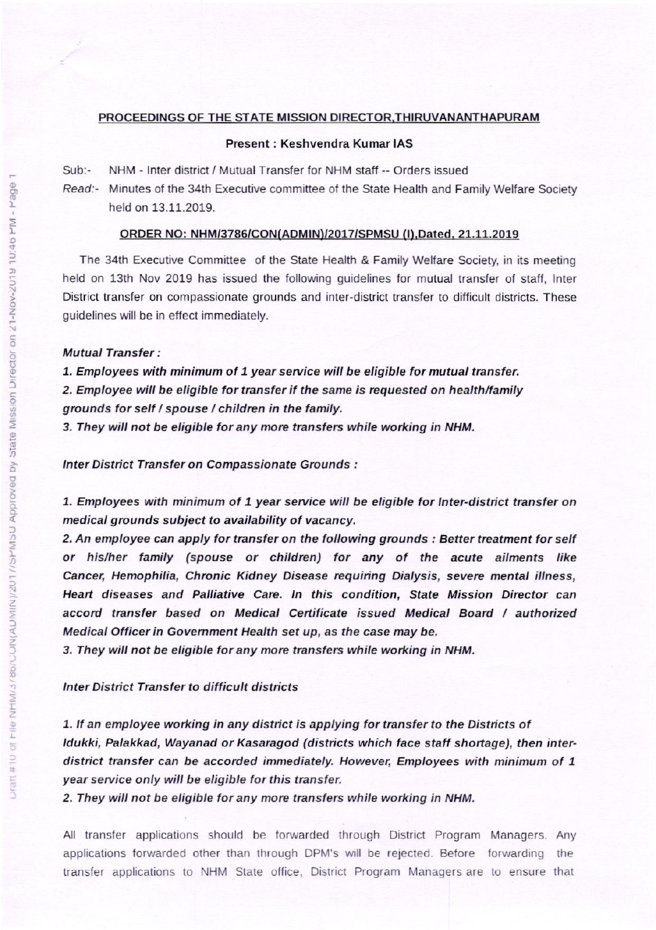#### PROCEEDINGS OF THE STATE MISSION DIRECTOR, THIRUVANANTHAPURAM

# Present : Keshvendra Kumar IAS

Sub:- NHM - Inter district / Mutual Transfer for NHM staff -- Orders issued

Read:- Minutes of the 34th Executive committee of the State Health and Family Welfare Society held on 13.11.2019.

### ORDER NO: NHM/3786/CON(ADMIN)/2017/SPMSU (I), Dated, 21.11.2019

The 34th Executive Committee of the State Health & Family Welfare Society, in its meeting held on 13th Nov 2019 has issued the following guidelines for mutual transfer of staff, Inter District transfer on compassionate grounds and inter-district transfer to difficult districts. These guidelines will be in effect immediately.

# **Mutual Transfer:**

1. Employees with minimum of 1 year service will be eligible for mutual transfer. 2. Employee will be eligible for transfer if the same is requested on health/family grounds for self / spouse / children in the family.

3. They will not be eligible for any more transfers while working in NHM.

Inter District Transfer on Compassionate Grounds :

1. Employees with minimum of 1 year service will be eligible for Inter-district transfer on medical grounds subject to availability of vacancy,

2. An employee can apply for transfer on the following grounds : Better treatment for self or his/her family (spouse or children) for any of the acute ailments like Cancer, Hemophilia, Chronic Kidney Disease requiring Dialysis, severe mental illness, Heart diseases and Palliative Care. In this condition, State Mission Director can accord ttanster based on Medical Cettilicate issued Medical Board I authoized Medical Officer in Government Health set up, as the case may be.

3. They will not be eligible for any more transfers while working in NHM.

# Inter District Transfer to difficult districts

1. If an employee working in any district is applying for transfer to the Districts of Idukki, Palakkad, Wayanad or Kasaragod (districts which face staff shortage), then interdistrict transfer can be accorded immediately. However, Employees with minimum of 1 year service only will be eligible for this transfer.

2. They will not be eligible for any more transfers while working in NHM.

All transfer applications should be forwarded through District Program Managers. Any applications forwarded other than through DPM's will be rejected. Before forwarding the transfer applications to NHM State office, District Program Managers are to ensure that